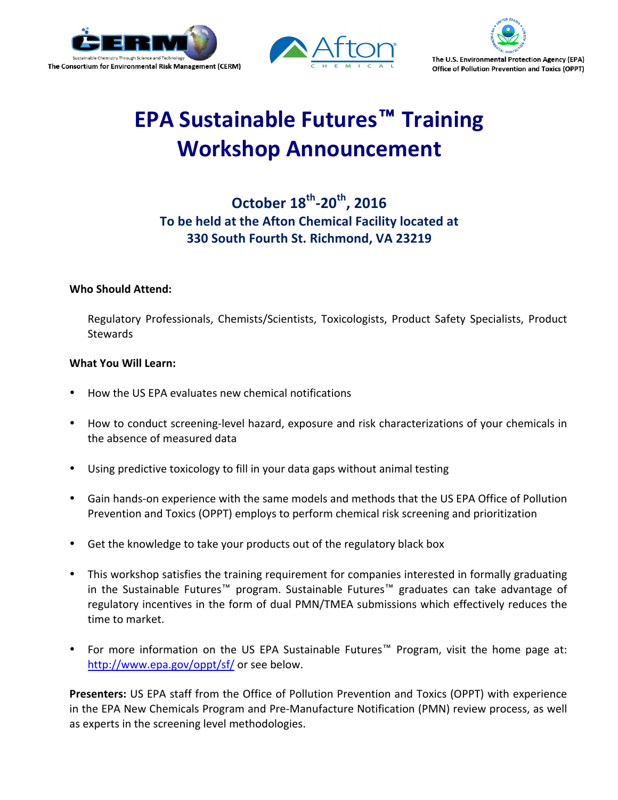





# **EPA Sustainable Futures™ Training Workshop Announcement**

## **October 18<sup>th</sup>-20<sup>th</sup>, 2016** To be held at the Afton Chemical Facility located at **330 South Fourth St. Richmond, VA 23219**

### **Who Should Attend:**

Regulatory Professionals, Chemists/Scientists, Toxicologists, Product Safety Specialists, Product **Stewards** 

#### **What You Will Learn:**

- How the US EPA evaluates new chemical notifications
- How to conduct screening-level hazard, exposure and risk characterizations of your chemicals in the absence of measured data
- Using predictive toxicology to fill in your data gaps without animal testing
- Gain hands-on experience with the same models and methods that the US EPA Office of Pollution Prevention and Toxics (OPPT) employs to perform chemical risk screening and prioritization
- Get the knowledge to take your products out of the regulatory black box
- This workshop satisfies the training requirement for companies interested in formally graduating in the Sustainable Futures™ program. Sustainable Futures™ graduates can take advantage of regulatory incentives in the form of dual PMN/TMEA submissions which effectively reduces the time to market.
- For more information on the US EPA Sustainable Futures™ Program, visit the home page at: http://www.epa.gov/oppt/sf/ or see below.

**Presenters:** US EPA staff from the Office of Pollution Prevention and Toxics (OPPT) with experience in the EPA New Chemicals Program and Pre-Manufacture Notification (PMN) review process, as well as experts in the screening level methodologies.